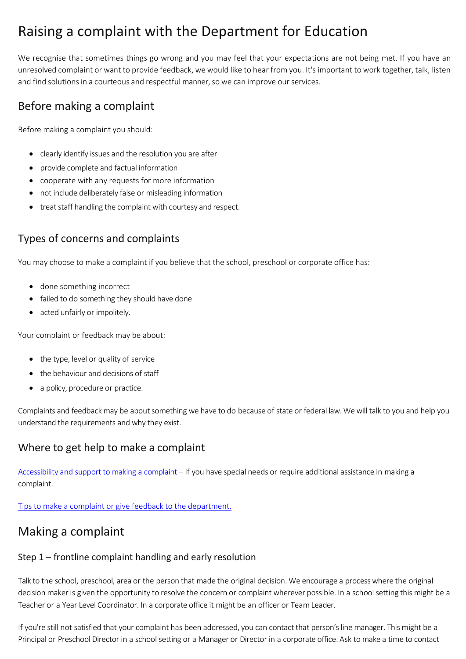# Raising a complaint with the Department for Education

We recognise that sometimes things go wrong and you may feel that your expectations are not being met. If you have an unresolved complaint or want to provide feedback, we would like to hear from you. It's important to work together, talk, listen and find solutions in a courteous and respectful manner, so we can improve our services.

## Before making a complaint

Before making a complaint you should:

- clearly identify issues and the resolution you are after
- provide complete and factual information
- cooperate with any requests for more information
- not include deliberately false or misleading information
- treat staff handling the complaint with courtesy and respect.

### Types of concerns and complaints

You may choose to make a complaint if you believe that the school, preschool or corporate office has:

- done something incorrect
- failed to do something they should have done
- acted unfairly or impolitely.

Your complaint or feedback may be about:

- the type, level or quality of service
- the behaviour and decisions of staff
- a policy, procedure or practice.

Complaints and feedback may be about something we have to do because of state or federal law. We will talk to you and help you understand the requirements and why they exist.

### Where to get help to make a complaint

[Accessibility and support to making a complaint –](https://www.education.sa.gov.au/accessibility-and-support-make-complaint) if you have special needs or require additional assistance in making a complaint.

[Tips to make a complaint or give feedback to the department.](https://www.education.sa.gov.au/tips-make-complaint-or-give-feedback-department)

# Making a complaint

### Step 1 – frontline complaint handling and early resolution

Talk to the school, preschool, area or the person that made the original decision. We encourage a process where the original decision maker is given the opportunity to resolve the concern or complaint wherever possible. In a school setting this might be a Teacher or a Year Level Coordinator. In a corporate office it might be an officer or Team Leader.

If you're still not satisfied that your complaint has been addressed, you can contact that person's line manager. This might be a Principal or Preschool Director in a school setting or a Manager or Director in a corporate office. Ask to make a time to contact